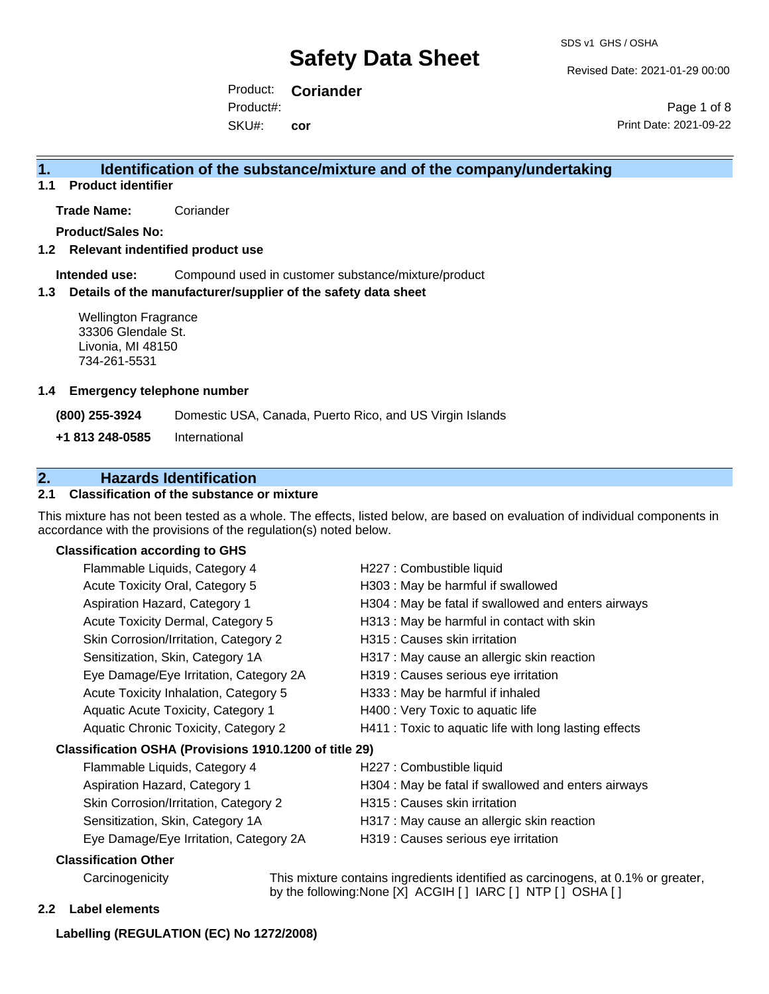Revised Date: 2021-01-29 00:00

Product: **Coriander** SKU#: Product#: **cor**

Page 1 of 8 Print Date: 2021-09-22

### **1. Identification of the substance/mixture and of the company/undertaking**

**1.1 Product identifier**

**Trade Name:** Coriander

**Product/Sales No:**

**1.2 Relevant indentified product use**

**Intended use:** Compound used in customer substance/mixture/product

#### **1.3 Details of the manufacturer/supplier of the safety data sheet**

Wellington Fragrance 33306 Glendale St. Livonia, MI 48150 734-261-5531

#### **1.4 Emergency telephone number**

**(800) 255-3924** Domestic USA, Canada, Puerto Rico, and US Virgin Islands

**+1 813 248-0585** International

## **2. Hazards Identification**

#### **2.1 Classification of the substance or mixture**

This mixture has not been tested as a whole. The effects, listed below, are based on evaluation of individual components in accordance with the provisions of the regulation(s) noted below.

#### **Classification according to GHS**

| Flammable Liquids, Category 4                          | H227 : Combustible liquid                                                   |
|--------------------------------------------------------|-----------------------------------------------------------------------------|
| Acute Toxicity Oral, Category 5                        | H303 : May be harmful if swallowed                                          |
| Aspiration Hazard, Category 1                          | H304 : May be fatal if swallowed and enters airways                         |
| Acute Toxicity Dermal, Category 5                      | H313 : May be harmful in contact with skin                                  |
| Skin Corrosion/Irritation, Category 2                  | H315 : Causes skin irritation                                               |
| Sensitization, Skin, Category 1A                       | H317 : May cause an allergic skin reaction                                  |
| Eye Damage/Eye Irritation, Category 2A                 | H319 : Causes serious eye irritation                                        |
| Acute Toxicity Inhalation, Category 5                  | H333: May be harmful if inhaled                                             |
| Aquatic Acute Toxicity, Category 1                     | H400 : Very Toxic to aquatic life                                           |
| Aquatic Chronic Toxicity, Category 2                   | H411 : Toxic to aquatic life with long lasting effects                      |
| Classification OSHA (Provisions 1910.1200 of title 29) |                                                                             |
| Flammable Liquids, Category 4                          | H227 : Combustible liquid                                                   |
| Aspiration Hazard, Category 1                          | H304 : May be fatal if swallowed and enters airways                         |
| Skin Corrosion/Irritation, Category 2                  | H315 : Causes skin irritation                                               |
| Sensitization, Skin, Category 1A                       | H317 : May cause an allergic skin reaction                                  |
| Eye Damage/Eye Irritation, Category 2A                 | H319 : Causes serious eye irritation                                        |
| <b>Classification Other</b>                            |                                                                             |
| Carcinogenicity                                        | This mixture contains ingredients identified as carcinogens, at 0.1% or gra |

#### **2.2 Label elements**

Unity This mixture contains ingredients identified as carcinogens, at 0.1% or greater, by the following:None [X] ACGIH [ ] IARC [ ] NTP [ ] OSHA [ ]

#### **Labelling (REGULATION (EC) No 1272/2008)**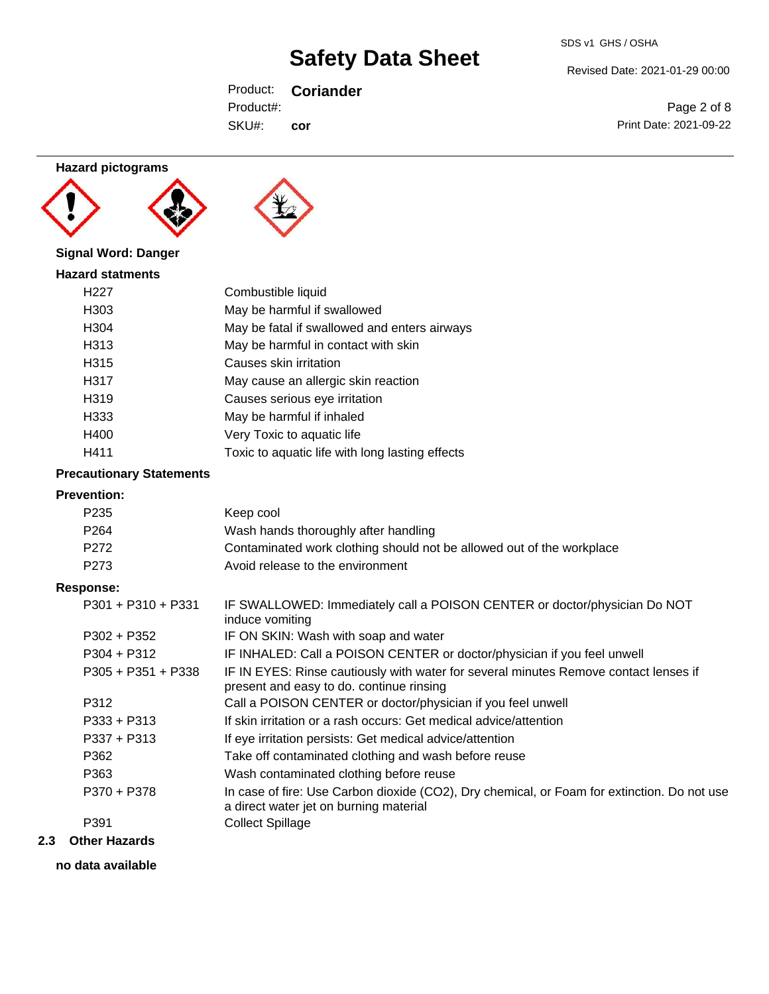Revised Date: 2021-01-29 00:00

Page 2 of 8

Product: **Coriander** SKU#: Product#: **cor**

Print Date: 2021-09-22

## **Hazard pictograms**





## **Signal Word: Danger**

| <b>Hazard statments</b> |                                                 |
|-------------------------|-------------------------------------------------|
| H <sub>22</sub> 7       | Combustible liquid                              |
| H <sub>303</sub>        | May be harmful if swallowed                     |
| H304                    | May be fatal if swallowed and enters airways    |
| H313                    | May be harmful in contact with skin             |
| H315                    | Causes skin irritation                          |
| H <sub>3</sub> 17       | May cause an allergic skin reaction             |
| H <sub>3</sub> 19       | Causes serious eye irritation                   |
| H333                    | May be harmful if inhaled                       |
| H400                    | Very Toxic to aquatic life                      |
| H411                    | Toxic to aquatic life with long lasting effects |

#### **Precautionary Statements**

#### **Prevention:**

| 1167611UVII.         |                                                                                                                                       |
|----------------------|---------------------------------------------------------------------------------------------------------------------------------------|
| P <sub>235</sub>     | Keep cool                                                                                                                             |
| P <sub>264</sub>     | Wash hands thoroughly after handling                                                                                                  |
| P272                 | Contaminated work clothing should not be allowed out of the workplace                                                                 |
| P <sub>273</sub>     | Avoid release to the environment                                                                                                      |
| Response:            |                                                                                                                                       |
| $P301 + P310 + P331$ | IF SWALLOWED: Immediately call a POISON CENTER or doctor/physician Do NOT<br>induce vomiting                                          |
| $P302 + P352$        | IF ON SKIN: Wash with soap and water                                                                                                  |
| $P304 + P312$        | IF INHALED: Call a POISON CENTER or doctor/physician if you feel unwell                                                               |
| $P305 + P351 + P338$ | IF IN EYES: Rinse cautiously with water for several minutes Remove contact lenses if<br>present and easy to do. continue rinsing      |
| P312                 | Call a POISON CENTER or doctor/physician if you feel unwell                                                                           |
| $P333 + P313$        | If skin irritation or a rash occurs: Get medical advice/attention                                                                     |
| $P337 + P313$        | If eye irritation persists: Get medical advice/attention                                                                              |
| P362                 | Take off contaminated clothing and wash before reuse                                                                                  |
| P363                 | Wash contaminated clothing before reuse                                                                                               |
| P370 + P378          | In case of fire: Use Carbon dioxide (CO2), Dry chemical, or Foam for extinction. Do not use<br>a direct water jet on burning material |
| P391                 | <b>Collect Spillage</b>                                                                                                               |

#### **2.3 Other Hazards**

**no data available**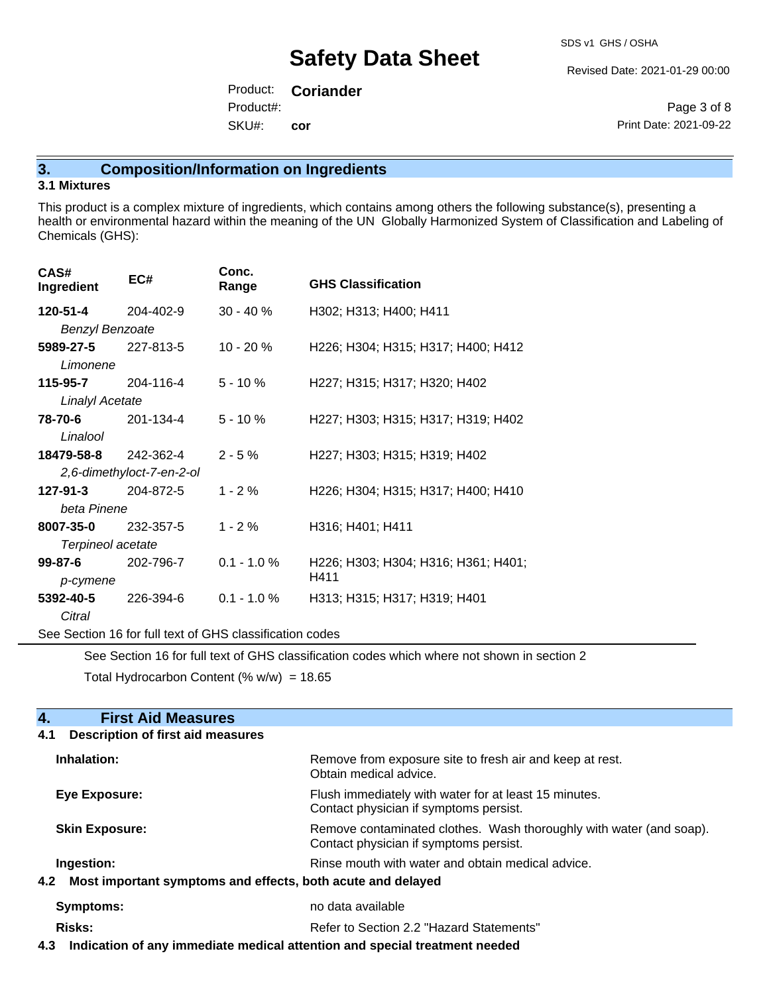Revised Date: 2021-01-29 00:00

Product: **Coriander** SKU#: Product#: **cor**

Page 3 of 8 Print Date: 2021-09-22

## **3. Composition/Information on Ingredients**

#### **3.1 Mixtures**

This product is a complex mixture of ingredients, which contains among others the following substance(s), presenting a health or environmental hazard within the meaning of the UN Globally Harmonized System of Classification and Labeling of Chemicals (GHS):

| CAS#<br>Ingredient          | EC#       | Conc.<br>Range | <b>GHS Classification</b>           |  |
|-----------------------------|-----------|----------------|-------------------------------------|--|
| 120-51-4                    | 204-402-9 | $30 - 40 \%$   | H302; H313; H400; H411              |  |
| <b>Benzyl Benzoate</b>      |           |                |                                     |  |
| 5989-27-5                   | 227-813-5 | $10 - 20 \%$   | H226; H304; H315; H317; H400; H412  |  |
| Limonene                    |           |                |                                     |  |
| 115-95-7                    | 204-116-4 | $5 - 10 \%$    | H227; H315; H317; H320; H402        |  |
| <b>Linalyl Acetate</b>      |           |                |                                     |  |
| 78-70-6                     | 201-134-4 | $5 - 10 \%$    | H227; H303; H315; H317; H319; H402  |  |
| Linalool                    |           |                |                                     |  |
| <b>18479-58-8</b> 242-362-4 |           | $2 - 5 \%$     | H227; H303; H315; H319; H402        |  |
| 2,6-dimethyloct-7-en-2-ol   |           |                |                                     |  |
| $127 - 91 - 3$              | 204-872-5 | $1 - 2%$       | H226; H304; H315; H317; H400; H410  |  |
| beta Pinene                 |           |                |                                     |  |
| 8007-35-0                   | 232-357-5 | $1 - 2%$       | H316; H401; H411                    |  |
| Terpineol acetate           |           |                |                                     |  |
| $99 - 87 - 6$               | 202-796-7 | $0.1 - 1.0 %$  | H226; H303; H304; H316; H361; H401; |  |
| p-cymene                    |           |                | H411                                |  |
| 5392-40-5                   | 226-394-6 | $0.1 - 1.0 \%$ | H313; H315; H317; H319; H401        |  |
| Citral                      |           |                |                                     |  |

See Section 16 for full text of GHS classification codes

See Section 16 for full text of GHS classification codes which where not shown in section 2

Total Hydrocarbon Content (%  $w/w$ ) = 18.65

| 4.<br><b>First Aid Measures</b>                                    |                                                                                                               |
|--------------------------------------------------------------------|---------------------------------------------------------------------------------------------------------------|
| <b>Description of first aid measures</b><br>4.1                    |                                                                                                               |
| Inhalation:                                                        | Remove from exposure site to fresh air and keep at rest.<br>Obtain medical advice.                            |
| Eye Exposure:                                                      | Flush immediately with water for at least 15 minutes.<br>Contact physician if symptoms persist.               |
| <b>Skin Exposure:</b>                                              | Remove contaminated clothes. Wash thoroughly with water (and soap).<br>Contact physician if symptoms persist. |
| Ingestion:                                                         | Rinse mouth with water and obtain medical advice.                                                             |
| Most important symptoms and effects, both acute and delayed<br>4.2 |                                                                                                               |
| Symptoms:                                                          | no data available                                                                                             |
| <b>Risks:</b>                                                      | Refer to Section 2.2 "Hazard Statements"                                                                      |
|                                                                    |                                                                                                               |

**4.3 Indication of any immediate medical attention and special treatment needed**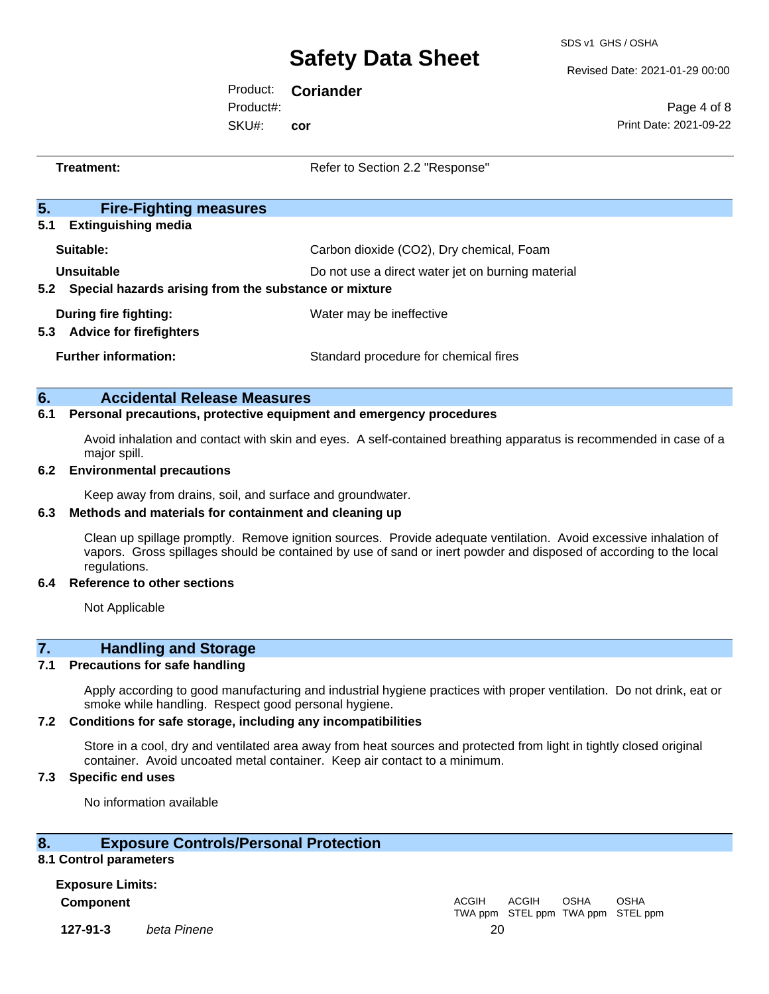SDS v1 GHS / OSHA

Revised Date: 2021-01-29 00:00

Product: **Coriander** SKU#: Product#: **cor**

Page 4 of 8 Print Date: 2021-09-22

| Treatment:                                                     | Refer to Section 2.2 "Response"                   |  |
|----------------------------------------------------------------|---------------------------------------------------|--|
| 5.<br><b>Fire-Fighting measures</b>                            |                                                   |  |
| 5.1<br><b>Extinguishing media</b>                              |                                                   |  |
| Suitable:                                                      | Carbon dioxide (CO2), Dry chemical, Foam          |  |
| Unsuitable                                                     | Do not use a direct water jet on burning material |  |
| 5.2 Special hazards arising from the substance or mixture      |                                                   |  |
| During fire fighting:<br>5.3<br><b>Advice for firefighters</b> | Water may be ineffective                          |  |
| <b>Further information:</b>                                    | Standard procedure for chemical fires             |  |

| 6. | <b>Accidental Release Measures</b> |  |  |
|----|------------------------------------|--|--|
|----|------------------------------------|--|--|

#### **6.1 Personal precautions, protective equipment and emergency procedures**

Avoid inhalation and contact with skin and eyes. A self-contained breathing apparatus is recommended in case of a major spill.

#### **6.2 Environmental precautions**

Keep away from drains, soil, and surface and groundwater.

#### **6.3 Methods and materials for containment and cleaning up**

Clean up spillage promptly. Remove ignition sources. Provide adequate ventilation. Avoid excessive inhalation of vapors. Gross spillages should be contained by use of sand or inert powder and disposed of according to the local regulations.

#### **6.4 Reference to other sections**

Not Applicable

### **7. Handling and Storage**

#### **7.1 Precautions for safe handling**

Apply according to good manufacturing and industrial hygiene practices with proper ventilation. Do not drink, eat or smoke while handling. Respect good personal hygiene.

#### **7.2 Conditions for safe storage, including any incompatibilities**

Store in a cool, dry and ventilated area away from heat sources and protected from light in tightly closed original container. Avoid uncoated metal container. Keep air contact to a minimum.

#### **7.3 Specific end uses**

No information available

#### **8. Exposure Controls/Personal Protection**

#### **8.1 Control parameters**

**Exposure Limits: Component** ACGIH

TWA ppm STEL ppm TWA ppm STEL ppm ACGIH OSHA OSHA

**127-91-3** *beta Pinene* 20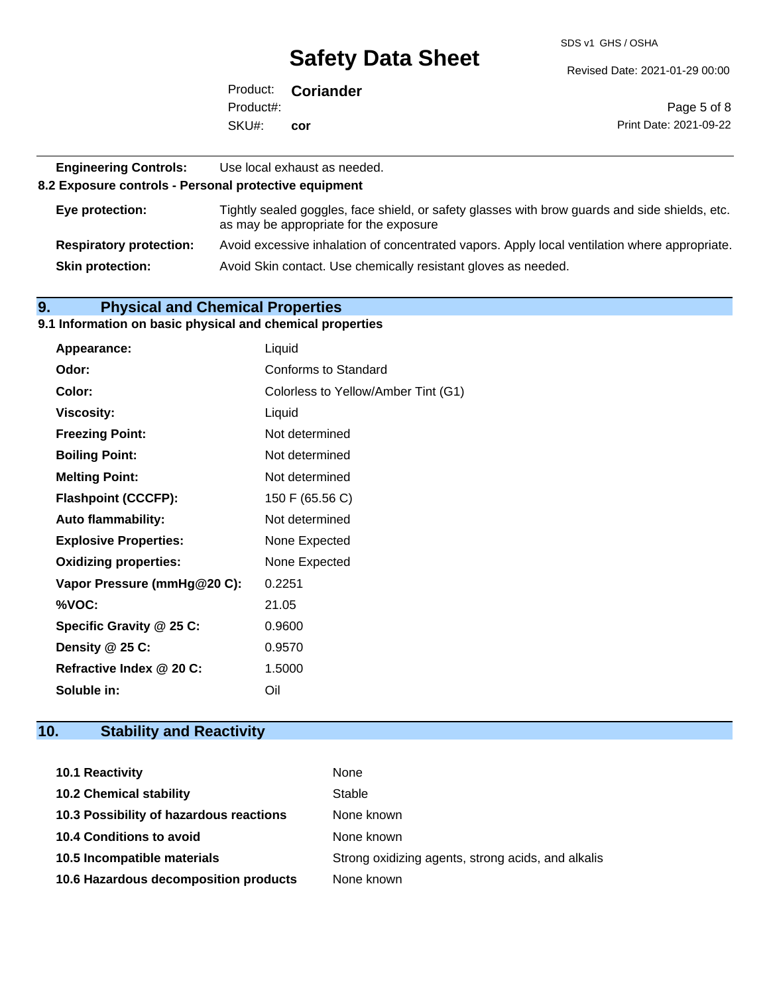SDS v1 GHS / OSHA

Revised Date: 2021-01-29 00:00

|           | Product: <b>Coriander</b> |                        |
|-----------|---------------------------|------------------------|
| Product#: |                           | Page 5 of 8            |
| SKU#:     | cor                       | Print Date: 2021-09-22 |

**8.2 Exposure controls - Personal protective equipment**

| Eye protection:                | Tightly sealed goggles, face shield, or safety glasses with brow guards and side shields, etc.<br>as may be appropriate for the exposure |
|--------------------------------|------------------------------------------------------------------------------------------------------------------------------------------|
| <b>Respiratory protection:</b> | Avoid excessive inhalation of concentrated vapors. Apply local ventilation where appropriate.                                            |
| <b>Skin protection:</b>        | Avoid Skin contact. Use chemically resistant gloves as needed.                                                                           |

## **9. Physical and Chemical Properties**

## **9.1 Information on basic physical and chemical properties**

| Appearance:                  | Liquid                              |
|------------------------------|-------------------------------------|
| Odor:                        | Conforms to Standard                |
| Color:                       | Colorless to Yellow/Amber Tint (G1) |
| <b>Viscosity:</b>            | Liquid                              |
| <b>Freezing Point:</b>       | Not determined                      |
| <b>Boiling Point:</b>        | Not determined                      |
| <b>Melting Point:</b>        | Not determined                      |
| <b>Flashpoint (CCCFP):</b>   | 150 F (65.56 C)                     |
| <b>Auto flammability:</b>    | Not determined                      |
| <b>Explosive Properties:</b> | None Expected                       |
| <b>Oxidizing properties:</b> | None Expected                       |
| Vapor Pressure (mmHg@20 C):  | 0.2251                              |
| %VOC:                        | 21.05                               |
| Specific Gravity @ 25 C:     | 0.9600                              |
| Density @ 25 C:              | 0.9570                              |
| Refractive Index @ 20 C:     | 1.5000                              |
| Soluble in:                  | Oil                                 |

## **10. Stability and Reactivity**

| <b>10.1 Reactivity</b>                  | None                                               |
|-----------------------------------------|----------------------------------------------------|
| <b>10.2 Chemical stability</b>          | Stable                                             |
| 10.3 Possibility of hazardous reactions | None known                                         |
| <b>10.4 Conditions to avoid</b>         | None known                                         |
| 10.5 Incompatible materials             | Strong oxidizing agents, strong acids, and alkalis |
| 10.6 Hazardous decomposition products   | None known                                         |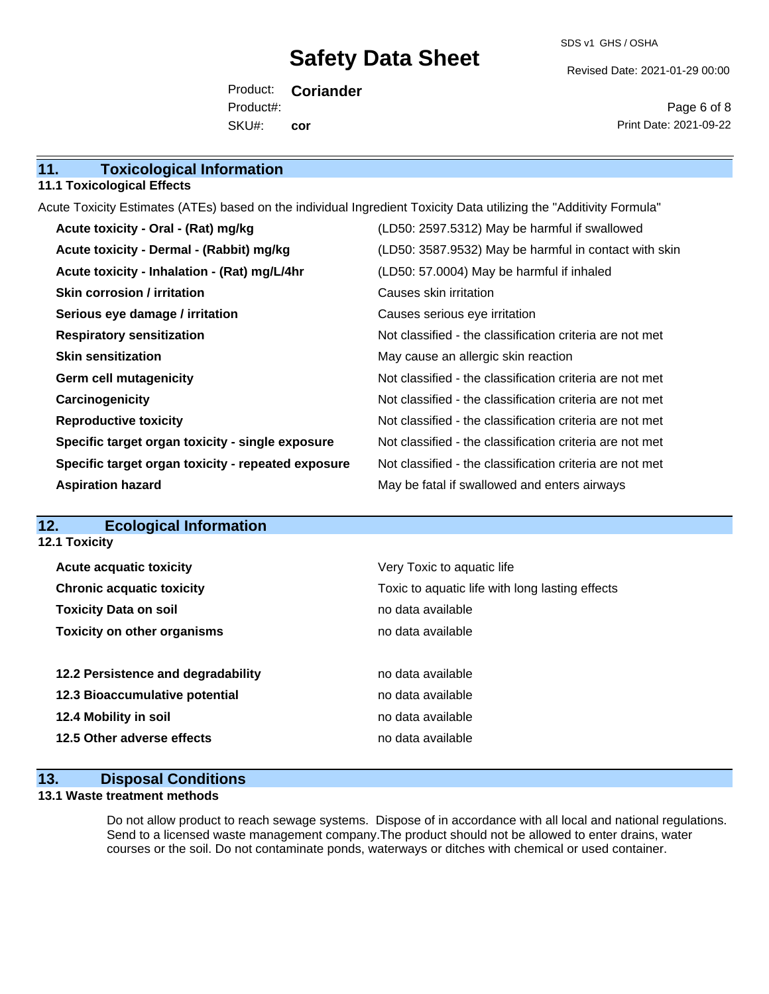SDS v1 GHS / OSHA

Revised Date: 2021-01-29 00:00

Product: **Coriander** SKU#: Product#: **cor**

Page 6 of 8 Print Date: 2021-09-22

## **11. Toxicological Information**

#### **11.1 Toxicological Effects**

Acute Toxicity Estimates (ATEs) based on the individual Ingredient Toxicity Data utilizing the "Additivity Formula"

| Acute toxicity - Oral - (Rat) mg/kg                | (LD50: 2597.5312) May be harmful if swallowed            |
|----------------------------------------------------|----------------------------------------------------------|
| Acute toxicity - Dermal - (Rabbit) mg/kg           | (LD50: 3587.9532) May be harmful in contact with skin    |
| Acute toxicity - Inhalation - (Rat) mg/L/4hr       | (LD50: 57.0004) May be harmful if inhaled                |
| Skin corrosion / irritation                        | Causes skin irritation                                   |
| Serious eye damage / irritation                    | Causes serious eye irritation                            |
| <b>Respiratory sensitization</b>                   | Not classified - the classification criteria are not met |
| <b>Skin sensitization</b>                          | May cause an allergic skin reaction                      |
| <b>Germ cell mutagenicity</b>                      | Not classified - the classification criteria are not met |
| Carcinogenicity                                    | Not classified - the classification criteria are not met |
| <b>Reproductive toxicity</b>                       | Not classified - the classification criteria are not met |
| Specific target organ toxicity - single exposure   | Not classified - the classification criteria are not met |
| Specific target organ toxicity - repeated exposure | Not classified - the classification criteria are not met |
| <b>Aspiration hazard</b>                           | May be fatal if swallowed and enters airways             |

#### **12. Ecological Information 12.1 Toxicity**

| <b>Acute acquatic toxicity</b>     | Very Toxic to aquatic life                      |
|------------------------------------|-------------------------------------------------|
| <b>Chronic acquatic toxicity</b>   | Toxic to aquatic life with long lasting effects |
| <b>Toxicity Data on soil</b>       | no data available                               |
| <b>Toxicity on other organisms</b> | no data available                               |
|                                    |                                                 |
| 12.2 Persistence and degradability | no data available                               |
| 12.3 Bioaccumulative potential     | no data available                               |
| 12.4 Mobility in soil              | no data available                               |
| 12.5 Other adverse effects         | no data available                               |
|                                    |                                                 |

### **13. Disposal Conditions**

#### **13.1 Waste treatment methods**

Do not allow product to reach sewage systems. Dispose of in accordance with all local and national regulations. Send to a licensed waste management company.The product should not be allowed to enter drains, water courses or the soil. Do not contaminate ponds, waterways or ditches with chemical or used container.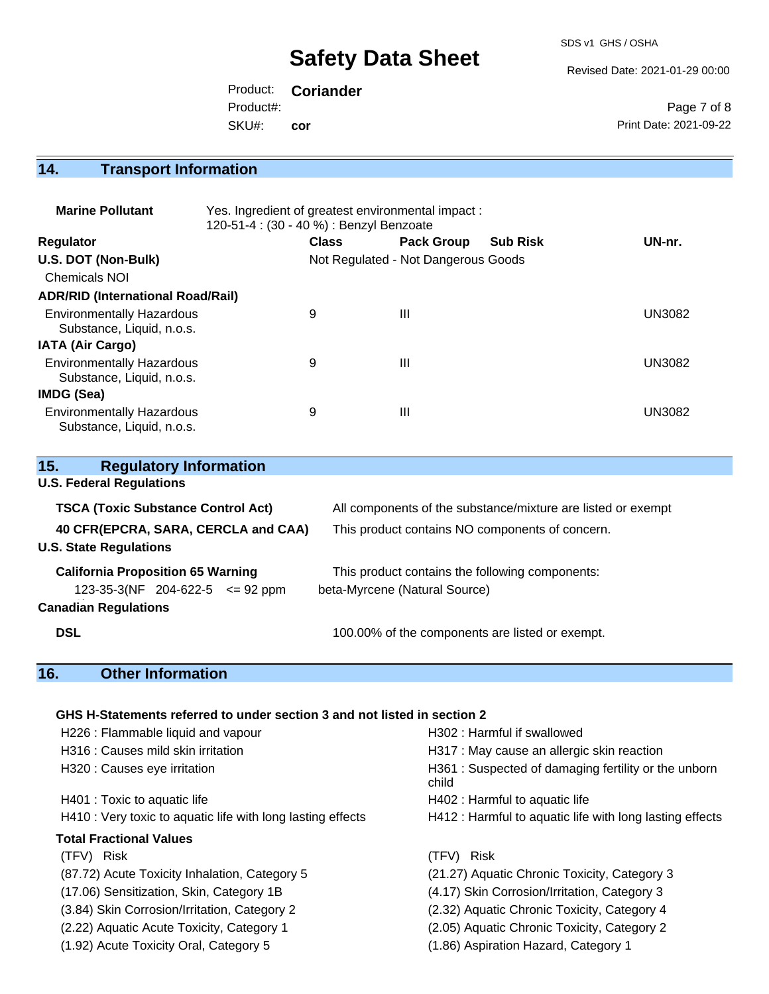SDS v1 GHS / OSHA

Revised Date: 2021-01-29 00:00

Product: **Coriander** SKU#: Product#: **cor**

Page 7 of 8 Print Date: 2021-09-22

## **14. Transport Information**

| <b>Marine Pollutant</b>                                       | Yes. Ingredient of greatest environmental impact:<br>120-51-4 : (30 - 40 %) : Benzyl Benzoate |              |                                     |                 |               |
|---------------------------------------------------------------|-----------------------------------------------------------------------------------------------|--------------|-------------------------------------|-----------------|---------------|
| <b>Regulator</b>                                              |                                                                                               | <b>Class</b> | <b>Pack Group</b>                   | <b>Sub Risk</b> | UN-nr.        |
| U.S. DOT (Non-Bulk)                                           |                                                                                               |              | Not Regulated - Not Dangerous Goods |                 |               |
| <b>Chemicals NOI</b>                                          |                                                                                               |              |                                     |                 |               |
| <b>ADR/RID (International Road/Rail)</b>                      |                                                                                               |              |                                     |                 |               |
| <b>Environmentally Hazardous</b><br>Substance, Liquid, n.o.s. |                                                                                               | 9            | Ш                                   |                 | <b>UN3082</b> |
| <b>IATA (Air Cargo)</b>                                       |                                                                                               |              |                                     |                 |               |
| <b>Environmentally Hazardous</b><br>Substance, Liquid, n.o.s. |                                                                                               | 9            | $\mathbf{III}$                      |                 | <b>UN3082</b> |
| IMDG (Sea)                                                    |                                                                                               |              |                                     |                 |               |
| <b>Environmentally Hazardous</b><br>Substance, Liquid, n.o.s. |                                                                                               | 9            | Ш                                   |                 | UN3082        |

| 15.        | <b>Regulatory Information</b>             |                                                              |
|------------|-------------------------------------------|--------------------------------------------------------------|
|            | <b>U.S. Federal Regulations</b>           |                                                              |
|            | <b>TSCA (Toxic Substance Control Act)</b> | All components of the substance/mixture are listed or exempt |
|            | 40 CFR(EPCRA, SARA, CERCLA and CAA)       | This product contains NO components of concern.              |
|            | <b>U.S. State Regulations</b>             |                                                              |
|            | <b>California Proposition 65 Warning</b>  | This product contains the following components:              |
|            | $123-35-3(NF)$ 204-622-5 $\leq$ 92 ppm    | beta-Myrcene (Natural Source)                                |
|            | <b>Canadian Regulations</b>               |                                                              |
| <b>DSL</b> |                                           | 100.00% of the components are listed or exempt.              |

## **16. Other Information**

#### **GHS H-Statements referred to under section 3 and not listed in section 2**

| H226 : Flammable liquid and vapour                          | H302 : Harmful if swallowed                                  |
|-------------------------------------------------------------|--------------------------------------------------------------|
| H316 : Causes mild skin irritation                          | H317 : May cause an allergic skin reaction                   |
| H320 : Causes eye irritation                                | H361: Suspected of damaging fertility or the unborn<br>child |
| H401 : Toxic to aquatic life                                | H402 : Harmful to aquatic life                               |
| H410 : Very toxic to aquatic life with long lasting effects | H412 : Harmful to aquatic life with long lasting effects     |
| <b>Total Fractional Values</b>                              |                                                              |
| (TFV) Risk                                                  | (TFV)<br>Risk                                                |
| (87.72) Acute Toxicity Inhalation, Category 5               | (21.27) Aquatic Chronic Toxicity, Category 3                 |
| (17.06) Sensitization, Skin, Category 1B                    | (4.17) Skin Corrosion/Irritation, Category 3                 |
| (3.84) Skin Corrosion/Irritation, Category 2                | (2.32) Aquatic Chronic Toxicity, Category 4                  |
| (2.22) Aquatic Acute Toxicity, Category 1                   | (2.05) Aquatic Chronic Toxicity, Category 2                  |
| (1.92) Acute Toxicity Oral, Category 5                      | (1.86) Aspiration Hazard, Category 1                         |